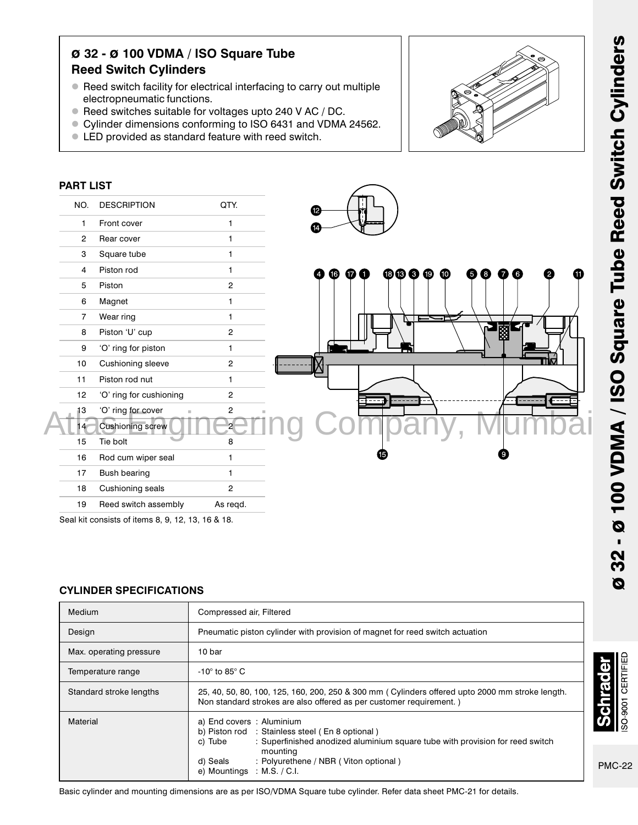# ø 32 - ø 100 VDMA / ISO Square Tube Reed Switch Cylinders

- Reed switch facility for electrical interfacing to carry out multiple electropneumatic functions.
- Reed switches suitable for voltages upto 240 V AC / DC.
- Cylinder dimensions conforming to ISO 6431 and VDMA 24562.
- LED provided as standard feature with reed switch.



Seal kit consists of items 8, 9, 12, 13, 16 & 18.

#### CYLINDER SPECIFICATIONS

| Medium                  | Compressed air, Filtered                                                                                                                                                                                                                                                |  |
|-------------------------|-------------------------------------------------------------------------------------------------------------------------------------------------------------------------------------------------------------------------------------------------------------------------|--|
| Design                  | Pneumatic piston cylinder with provision of magnet for reed switch actuation                                                                                                                                                                                            |  |
| Max. operating pressure | 10 bar                                                                                                                                                                                                                                                                  |  |
| Temperature range       | -10 $^{\circ}$ to 85 $^{\circ}$ C                                                                                                                                                                                                                                       |  |
| Standard stroke lengths | 25, 40, 50, 80, 100, 125, 160, 200, 250 & 300 mm (Cylinders offered upto 2000 mm stroke length.<br>Non standard strokes are also offered as per customer requirement.)                                                                                                  |  |
| Material                | a) End covers : Aluminium<br>b) Piston rod : Stainless steel (En 8 optional)<br>: Superfinished anodized aluminium square tube with provision for reed switch<br>c) Tube<br>mounting<br>: Polyurethene / NBR (Viton optional)<br>d) Seals<br>e) Mountings : M.S. / C.I. |  |

Basic cylinder and mounting dimensions are as per ISO/VDMA Square tube cylinder. Refer data sheet PMC-21 for details.

SO-9001 CERTIFIEL